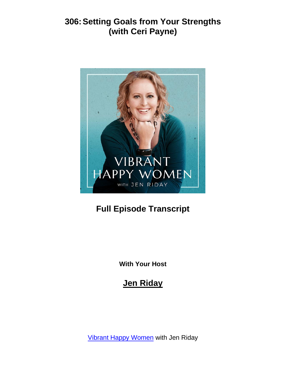

# **Full Episode Transcript**

**With Your Host**

#### **Jen Riday**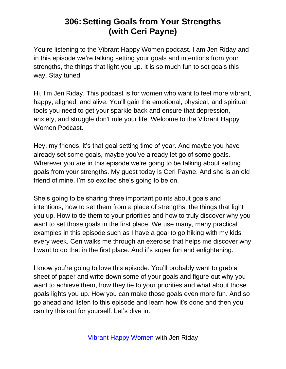You're listening to the Vibrant Happy Women podcast. I am Jen Riday and in this episode we're talking setting your goals and intentions from your strengths, the things that light you up. It is so much fun to set goals this way. Stay tuned.

Hi, I'm Jen Riday. This podcast is for women who want to feel more vibrant, happy, aligned, and alive. You'll gain the emotional, physical, and spiritual tools you need to get your sparkle back and ensure that depression, anxiety, and struggle don't rule your life. Welcome to the Vibrant Happy Women Podcast.

Hey, my friends, it's that goal setting time of year. And maybe you have already set some goals, maybe you've already let go of some goals. Wherever you are in this episode we're going to be talking about setting goals from your strengths. My guest today is Ceri Payne. And she is an old friend of mine. I'm so excited she's going to be on.

She's going to be sharing three important points about goals and intentions, how to set them from a place of strengths, the things that light you up. How to tie them to your priorities and how to truly discover why you want to set those goals in the first place. We use many, many practical examples in this episode such as I have a goal to go hiking with my kids every week. Ceri walks me through an exercise that helps me discover why I want to do that in the first place. And it's super fun and enlightening.

I know you're going to love this episode. You'll probably want to grab a sheet of paper and write down some of your goals and figure out why you want to achieve them, how they tie to your priorities and what about those goals lights you up. How you can make those goals even more fun. And so go ahead and listen to this episode and learn how it's done and then you can try this out for yourself. Let's dive in.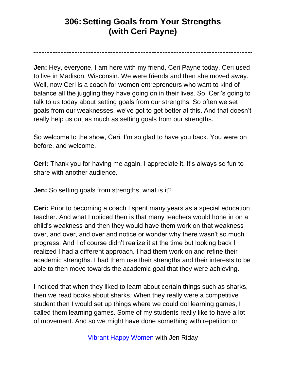**Jen:** Hey, everyone, I am here with my friend, Ceri Payne today. Ceri used to live in Madison, Wisconsin. We were friends and then she moved away. Well, now Ceri is a coach for women entrepreneurs who want to kind of balance all the juggling they have going on in their lives. So, Ceri's going to talk to us today about setting goals from our strengths. So often we set goals from our weaknesses, we've got to get better at this. And that doesn't really help us out as much as setting goals from our strengths.

So welcome to the show, Ceri, I'm so glad to have you back. You were on before, and welcome.

**Ceri:** Thank you for having me again, I appreciate it. It's always so fun to share with another audience.

**Jen:** So setting goals from strengths, what is it?

**Ceri:** Prior to becoming a coach I spent many years as a special education teacher. And what I noticed then is that many teachers would hone in on a child's weakness and then they would have them work on that weakness over, and over, and over and notice or wonder why there wasn't so much progress. And I of course didn't realize it at the time but looking back I realized I had a different approach. I had them work on and refine their academic strengths. I had them use their strengths and their interests to be able to then move towards the academic goal that they were achieving.

I noticed that when they liked to learn about certain things such as sharks, then we read books about sharks. When they really were a competitive student then I would set up things where we could dol learning games, I called them learning games. Some of my students really like to have a lot of movement. And so we might have done something with repetition or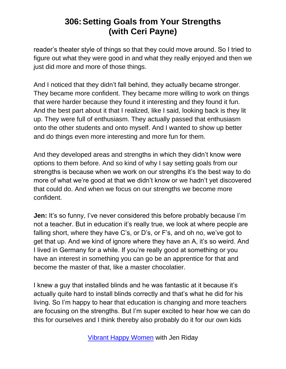reader's theater style of things so that they could move around. So I tried to figure out what they were good in and what they really enjoyed and then we just did more and more of those things.

And I noticed that they didn't fall behind, they actually became stronger. They became more confident. They became more willing to work on things that were harder because they found it interesting and they found it fun. And the best part about it that I realized, like I said, looking back is they lit up. They were full of enthusiasm. They actually passed that enthusiasm onto the other students and onto myself. And I wanted to show up better and do things even more interesting and more fun for them.

And they developed areas and strengths in which they didn't know were options to them before. And so kind of why I say setting goals from our strengths is because when we work on our strengths it's the best way to do more of what we're good at that we didn't know or we hadn't yet discovered that could do. And when we focus on our strengths we become more confident.

**Jen:** It's so funny, I've never considered this before probably because I'm not a teacher. But in education it's really true, we look at where people are falling short, where they have C's, or D's, or F's, and oh no, we've got to get that up. And we kind of ignore where they have an A, it's so weird. And I lived in Germany for a while. If you're really good at something or you have an interest in something you can go be an apprentice for that and become the master of that, like a master chocolatier.

I knew a guy that installed blinds and he was fantastic at it because it's actually quite hard to install blinds correctly and that's what he did for his living. So I'm happy to hear that education is changing and more teachers are focusing on the strengths. But I'm super excited to hear how we can do this for ourselves and I think thereby also probably do it for our own kids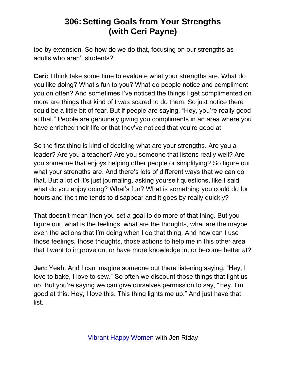too by extension. So how do we do that, focusing on our strengths as adults who aren't students?

**Ceri:** I think take some time to evaluate what your strengths are. What do you like doing? What's fun to you? What do people notice and compliment you on often? And sometimes I've noticed the things I get complimented on more are things that kind of I was scared to do them. So just notice there could be a little bit of fear. But if people are saying, "Hey, you're really good at that." People are genuinely giving you compliments in an area where you have enriched their life or that they've noticed that you're good at.

So the first thing is kind of deciding what are your strengths. Are you a leader? Are you a teacher? Are you someone that listens really well? Are you someone that enjoys helping other people or simplifying? So figure out what your strengths are. And there's lots of different ways that we can do that. But a lot of it's just journaling, asking yourself questions, like I said, what do you enjoy doing? What's fun? What is something you could do for hours and the time tends to disappear and it goes by really quickly?

That doesn't mean then you set a goal to do more of that thing. But you figure out, what is the feelings, what are the thoughts, what are the maybe even the actions that I'm doing when I do that thing. And how can I use those feelings, those thoughts, those actions to help me in this other area that I want to improve on, or have more knowledge in, or become better at?

**Jen:** Yeah. And I can imagine someone out there listening saying, "Hey, I love to bake, I love to sew." So often we discount those things that light us up. But you're saying we can give ourselves permission to say, "Hey, I'm good at this. Hey, I love this. This thing lights me up." And just have that list.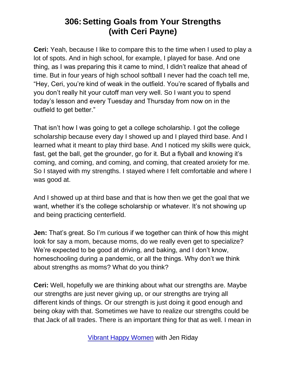**Ceri:** Yeah, because I like to compare this to the time when I used to play a lot of spots. And in high school, for example, I played for base. And one thing, as I was preparing this it came to mind, I didn't realize that ahead of time. But in four years of high school softball I never had the coach tell me, "Hey, Ceri, you're kind of weak in the outfield. You're scared of flyballs and you don't really hit your cutoff man very well. So I want you to spend today's lesson and every Tuesday and Thursday from now on in the outfield to get better."

That isn't how I was going to get a college scholarship. I got the college scholarship because every day I showed up and I played third base. And I learned what it meant to play third base. And I noticed my skills were quick, fast, get the ball, get the grounder, go for it. But a flyball and knowing it's coming, and coming, and coming, and coming, that created anxiety for me. So I stayed with my strengths. I stayed where I felt comfortable and where I was good at.

And I showed up at third base and that is how then we get the goal that we want, whether it's the college scholarship or whatever. It's not showing up and being practicing centerfield.

**Jen:** That's great. So I'm curious if we together can think of how this might look for say a mom, because moms, do we really even get to specialize? We're expected to be good at driving, and baking, and I don't know, homeschooling during a pandemic, or all the things. Why don't we think about strengths as moms? What do you think?

**Ceri:** Well, hopefully we are thinking about what our strengths are. Maybe our strengths are just never giving up, or our strengths are trying all different kinds of things. Or our strength is just doing it good enough and being okay with that. Sometimes we have to realize our strengths could be that Jack of all trades. There is an important thing for that as well. I mean in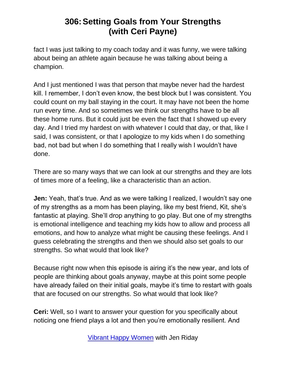fact I was just talking to my coach today and it was funny, we were talking about being an athlete again because he was talking about being a champion.

And I just mentioned I was that person that maybe never had the hardest kill. I remember, I don't even know, the best block but I was consistent. You could count on my ball staying in the court. It may have not been the home run every time. And so sometimes we think our strengths have to be all these home runs. But it could just be even the fact that I showed up every day. And I tried my hardest on with whatever I could that day, or that, like I said, I was consistent, or that I apologize to my kids when I do something bad, not bad but when I do something that I really wish I wouldn't have done.

There are so many ways that we can look at our strengths and they are lots of times more of a feeling, like a characteristic than an action.

**Jen:** Yeah, that's true. And as we were talking I realized, I wouldn't say one of my strengths as a mom has been playing, like my best friend, Kit, she's fantastic at playing. She'll drop anything to go play. But one of my strengths is emotional intelligence and teaching my kids how to allow and process all emotions, and how to analyze what might be causing these feelings. And I guess celebrating the strengths and then we should also set goals to our strengths. So what would that look like?

Because right now when this episode is airing it's the new year, and lots of people are thinking about goals anyway, maybe at this point some people have already failed on their initial goals, maybe it's time to restart with goals that are focused on our strengths. So what would that look like?

**Ceri:** Well, so I want to answer your question for you specifically about noticing one friend plays a lot and then you're emotionally resilient. And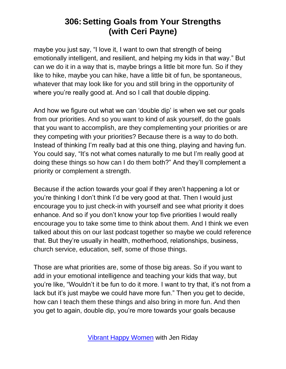maybe you just say, "I love it, I want to own that strength of being emotionally intelligent, and resilient, and helping my kids in that way." But can we do it in a way that is, maybe brings a little bit more fun. So if they like to hike, maybe you can hike, have a little bit of fun, be spontaneous, whatever that may look like for you and still bring in the opportunity of where you're really good at. And so I call that double dipping.

And how we figure out what we can 'double dip' is when we set our goals from our priorities. And so you want to kind of ask yourself, do the goals that you want to accomplish, are they complementing your priorities or are they competing with your priorities? Because there is a way to do both. Instead of thinking I'm really bad at this one thing, playing and having fun. You could say, "It's not what comes naturally to me but I'm really good at doing these things so how can I do them both?" And they'll complement a priority or complement a strength.

Because if the action towards your goal if they aren't happening a lot or you're thinking I don't think I'd be very good at that. Then I would just encourage you to just check-in with yourself and see what priority it does enhance. And so if you don't know your top five priorities I would really encourage you to take some time to think about them. And I think we even talked about this on our last podcast together so maybe we could reference that. But they're usually in health, motherhood, relationships, business, church service, education, self, some of those things.

Those are what priorities are, some of those big areas. So if you want to add in your emotional intelligence and teaching your kids that way, but you're like, "Wouldn't it be fun to do it more. I want to try that, it's not from a lack but it's just maybe we could have more fun." Then you get to decide, how can I teach them these things and also bring in more fun. And then you get to again, double dip, you're more towards your goals because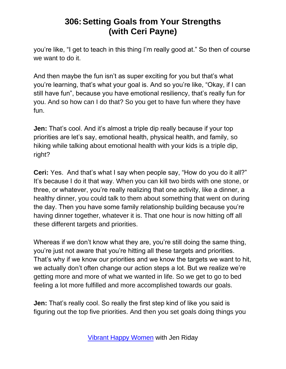you're like, "I get to teach in this thing I'm really good at." So then of course we want to do it.

And then maybe the fun isn't as super exciting for you but that's what you're learning, that's what your goal is. And so you're like, "Okay, if I can still have fun", because you have emotional resiliency, that's really fun for you. And so how can I do that? So you get to have fun where they have fun.

**Jen:** That's cool. And it's almost a triple dip really because if your top priorities are let's say, emotional health, physical health, and family, so hiking while talking about emotional health with your kids is a triple dip, right?

**Ceri:** Yes. And that's what I say when people say, "How do you do it all?" It's because I do it that way. When you can kill two birds with one stone, or three, or whatever, you're really realizing that one activity, like a dinner, a healthy dinner, you could talk to them about something that went on during the day. Then you have some family relationship building because you're having dinner together, whatever it is. That one hour is now hitting off all these different targets and priorities.

Whereas if we don't know what they are, you're still doing the same thing, you're just not aware that you're hitting all these targets and priorities. That's why if we know our priorities and we know the targets we want to hit, we actually don't often change our action steps a lot. But we realize we're getting more and more of what we wanted in life. So we get to go to bed feeling a lot more fulfilled and more accomplished towards our goals.

**Jen:** That's really cool. So really the first step kind of like you said is figuring out the top five priorities. And then you set goals doing things you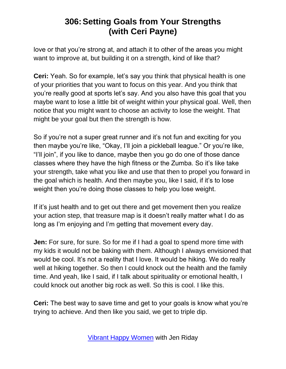love or that you're strong at, and attach it to other of the areas you might want to improve at, but building it on a strength, kind of like that?

**Ceri:** Yeah. So for example, let's say you think that physical health is one of your priorities that you want to focus on this year. And you think that you're really good at sports let's say. And you also have this goal that you maybe want to lose a little bit of weight within your physical goal. Well, then notice that you might want to choose an activity to lose the weight. That might be your goal but then the strength is how.

So if you're not a super great runner and it's not fun and exciting for you then maybe you're like, "Okay, I'll join a pickleball league." Or you're like, "I'll join", if you like to dance, maybe then you go do one of those dance classes where they have the high fitness or the Zumba. So it's like take your strength, take what you like and use that then to propel you forward in the goal which is health. And then maybe you, like I said, if it's to lose weight then you're doing those classes to help you lose weight.

If it's just health and to get out there and get movement then you realize your action step, that treasure map is it doesn't really matter what I do as long as I'm enjoying and I'm getting that movement every day.

**Jen:** For sure, for sure. So for me if I had a goal to spend more time with my kids it would not be baking with them. Although I always envisioned that would be cool. It's not a reality that I love. It would be hiking. We do really well at hiking together. So then I could knock out the health and the family time. And yeah, like I said, if I talk about spirituality or emotional health, I could knock out another big rock as well. So this is cool. I like this.

**Ceri:** The best way to save time and get to your goals is know what you're trying to achieve. And then like you said, we get to triple dip.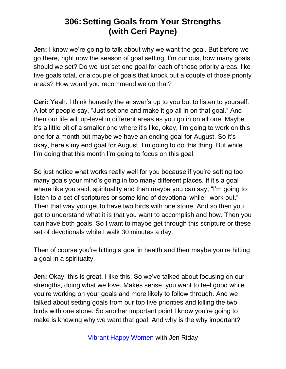**Jen:** I know we're going to talk about why we want the goal. But before we go there, right now the season of goal setting, I'm curious, how many goals should we set? Do we just set one goal for each of those priority areas, like five goals total, or a couple of goals that knock out a couple of those priority areas? How would you recommend we do that?

**Ceri:** Yeah. I think honestly the answer's up to you but to listen to yourself. A lot of people say, "Just set one and make it go all in on that goal." And then our life will up-level in different areas as you go in on all one. Maybe it's a little bit of a smaller one where it's like, okay, I'm going to work on this one for a month but maybe we have an ending goal for August. So it's okay, here's my end goal for August, I'm going to do this thing. But while I'm doing that this month I'm going to focus on this goal.

So just notice what works really well for you because if you're setting too many goals your mind's going in too many different places. If it's a goal where like you said, spirituality and then maybe you can say, "I'm going to listen to a set of scriptures or some kind of devotional while I work out." Then that way you get to have two birds with one stone. And so then you get to understand what it is that you want to accomplish and how. Then you can have both goals. So I want to maybe get through this scripture or these set of devotionals while I walk 30 minutes a day.

Then of course you're hitting a goal in health and then maybe you're hitting a goal in a spiritualty.

**Jen:** Okay, this is great. I like this. So we've talked about focusing on our strengths, doing what we love. Makes sense, you want to feel good while you're working on your goals and more likely to follow through. And we talked about setting goals from our top five priorities and killing the two birds with one stone. So another important point I know you're going to make is knowing why we want that goal. And why is the why important?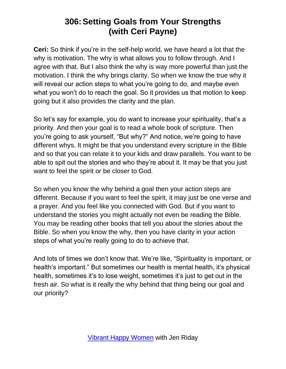**Ceri:** So think if you're in the self-help world, we have heard a lot that the why is motivation. The why is what allows you to follow through. And I agree with that. But I also think the why is way more powerful than just the motivation. I think the why brings clarity. So when we know the true why it will reveal our action steps to what you're going to do, and maybe even what you won't do to reach the goal. So it provides us that motion to keep going but it also provides the clarity and the plan.

So let's say for example, you do want to increase your spirituality, that's a priority. And then your goal is to read a whole book of scripture. Then you're going to ask yourself, "But why?" And notice, we're going to have different whys. It might be that you understand every scripture in the Bible and so that you can relate it to your kids and draw parallels. You want to be able to spit out the stories and who they're about it. It may be that you just want to feel the spirit or be closer to God.

So when you know the why behind a goal then your action steps are different. Because if you want to feel the spirit, it may just be one verse and a prayer. And you feel like you connected with God. But if you want to understand the stories you might actually not even be reading the Bible. You may be reading other books that tell you about the stories about the Bible. So when you know the why, then you have clarity in your action steps of what you're really going to do to achieve that.

And lots of times we don't know that. We're like, "Spirituality is important, or health's important." But sometimes our health is mental health, it's physical health, sometimes it's to lose weight, sometimes it's just to get out in the fresh air. So what is it really the why behind that thing being our goal and our priority?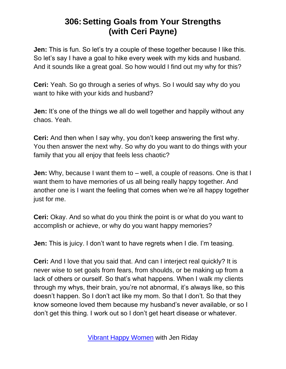**Jen:** This is fun. So let's try a couple of these together because I like this. So let's say I have a goal to hike every week with my kids and husband. And it sounds like a great goal. So how would I find out my why for this?

**Ceri:** Yeah. So go through a series of whys. So I would say why do you want to hike with your kids and husband?

**Jen:** It's one of the things we all do well together and happily without any chaos. Yeah.

**Ceri:** And then when I say why, you don't keep answering the first why. You then answer the next why. So why do you want to do things with your family that you all enjoy that feels less chaotic?

**Jen:** Why, because I want them to – well, a couple of reasons. One is that I want them to have memories of us all being really happy together. And another one is I want the feeling that comes when we're all happy together just for me.

**Ceri:** Okay. And so what do you think the point is or what do you want to accomplish or achieve, or why do you want happy memories?

**Jen:** This is juicy. I don't want to have regrets when I die. I'm teasing.

**Ceri:** And I love that you said that. And can I interject real quickly? It is never wise to set goals from fears, from shoulds, or be making up from a lack of others or ourself. So that's what happens. When I walk my clients through my whys, their brain, you're not abnormal, it's always like, so this doesn't happen. So I don't act like my mom. So that I don't. So that they know someone loved them because my husband's never available, or so I don't get this thing. I work out so I don't get heart disease or whatever.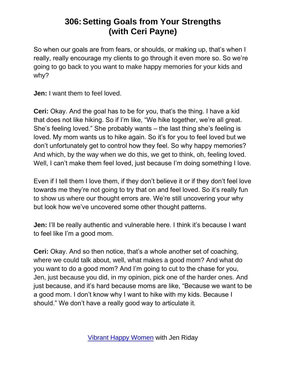So when our goals are from fears, or shoulds, or making up, that's when I really, really encourage my clients to go through it even more so. So we're going to go back to you want to make happy memories for your kids and why?

**Jen:** I want them to feel loved.

**Ceri:** Okay. And the goal has to be for you, that's the thing. I have a kid that does not like hiking. So if I'm like, "We hike together, we're all great. She's feeling loved." She probably wants – the last thing she's feeling is loved. My mom wants us to hike again. So it's for you to feel loved but we don't unfortunately get to control how they feel. So why happy memories? And which, by the way when we do this, we get to think, oh, feeling loved. Well, I can't make them feel loved, just because I'm doing something I love.

Even if I tell them I love them, if they don't believe it or if they don't feel love towards me they're not going to try that on and feel loved. So it's really fun to show us where our thought errors are. We're still uncovering your why but look how we've uncovered some other thought patterns.

**Jen:** I'll be really authentic and vulnerable here. I think it's because I want to feel like I'm a good mom.

**Ceri:** Okay. And so then notice, that's a whole another set of coaching, where we could talk about, well, what makes a good mom? And what do you want to do a good mom? And I'm going to cut to the chase for you, Jen, just because you did, in my opinion, pick one of the harder ones. And just because, and it's hard because moms are like, "Because we want to be a good mom. I don't know why I want to hike with my kids. Because I should." We don't have a really good way to articulate it.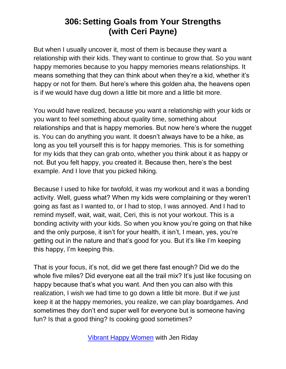But when I usually uncover it, most of them is because they want a relationship with their kids. They want to continue to grow that. So you want happy memories because to you happy memories means relationships. It means something that they can think about when they're a kid, whether it's happy or not for them. But here's where this golden aha, the heavens open is if we would have dug down a little bit more and a little bit more.

You would have realized, because you want a relationship with your kids or you want to feel something about quality time, something about relationships and that is happy memories. But now here's where the nugget is. You can do anything you want. It doesn't always have to be a hike, as long as you tell yourself this is for happy memories. This is for something for my kids that they can grab onto, whether you think about it as happy or not. But you felt happy, you created it. Because then, here's the best example. And I love that you picked hiking.

Because I used to hike for twofold, it was my workout and it was a bonding activity. Well, guess what? When my kids were complaining or they weren't going as fast as I wanted to, or I had to stop, I was annoyed. And I had to remind myself, wait, wait, wait, Ceri, this is not your workout. This is a bonding activity with your kids. So when you know you're going on that hike and the only purpose, it isn't for your health, it isn't, I mean, yes, you're getting out in the nature and that's good for you. But it's like I'm keeping this happy, I'm keeping this.

That is your focus, it's not, did we get there fast enough? Did we do the whole five miles? Did everyone eat all the trail mix? It's just like focusing on happy because that's what you want. And then you can also with this realization, I wish we had time to go down a little bit more. But if we just keep it at the happy memories, you realize, we can play boardgames. And sometimes they don't end super well for everyone but is someone having fun? Is that a good thing? Is cooking good sometimes?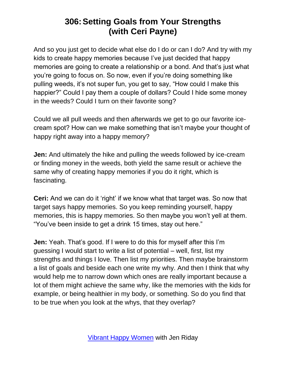And so you just get to decide what else do I do or can I do? And try with my kids to create happy memories because I've just decided that happy memories are going to create a relationship or a bond. And that's just what you're going to focus on. So now, even if you're doing something like pulling weeds, it's not super fun, you get to say, "How could I make this happier?" Could I pay them a couple of dollars? Could I hide some money in the weeds? Could I turn on their favorite song?

Could we all pull weeds and then afterwards we get to go our favorite icecream spot? How can we make something that isn't maybe your thought of happy right away into a happy memory?

**Jen:** And ultimately the hike and pulling the weeds followed by ice-cream or finding money in the weeds, both yield the same result or achieve the same why of creating happy memories if you do it right, which is fascinating.

**Ceri:** And we can do it 'right' if we know what that target was. So now that target says happy memories. So you keep reminding yourself, happy memories, this is happy memories. So then maybe you won't yell at them. "You've been inside to get a drink 15 times, stay out here."

**Jen:** Yeah. That's good. If I were to do this for myself after this I'm guessing I would start to write a list of potential – well, first, list my strengths and things I love. Then list my priorities. Then maybe brainstorm a list of goals and beside each one write my why. And then I think that why would help me to narrow down which ones are really important because a lot of them might achieve the same why, like the memories with the kids for example, or being healthier in my body, or something. So do you find that to be true when you look at the whys, that they overlap?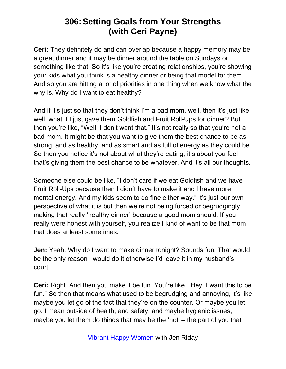**Ceri:** They definitely do and can overlap because a happy memory may be a great dinner and it may be dinner around the table on Sundays or something like that. So it's like you're creating relationships, you're showing your kids what you think is a healthy dinner or being that model for them. And so you are hitting a lot of priorities in one thing when we know what the why is. Why do I want to eat healthy?

And if it's just so that they don't think I'm a bad mom, well, then it's just like, well, what if I just gave them Goldfish and Fruit Roll-Ups for dinner? But then you're like, "Well, I don't want that." It's not really so that you're not a bad mom. It might be that you want to give them the best chance to be as strong, and as healthy, and as smart and as full of energy as they could be. So then you notice it's not about what they're eating, it's about you feel that's giving them the best chance to be whatever. And it's all our thoughts.

Someone else could be like, "I don't care if we eat Goldfish and we have Fruit Roll-Ups because then I didn't have to make it and I have more mental energy. And my kids seem to do fine either way." It's just our own perspective of what it is but then we're not being forced or begrudgingly making that really 'healthy dinner' because a good mom should. If you really were honest with yourself, you realize I kind of want to be that mom that does at least sometimes.

**Jen:** Yeah. Why do I want to make dinner tonight? Sounds fun. That would be the only reason I would do it otherwise I'd leave it in my husband's court.

**Ceri:** Right. And then you make it be fun. You're like, "Hey, I want this to be fun." So then that means what used to be begrudging and annoying, it's like maybe you let go of the fact that they're on the counter. Or maybe you let go. I mean outside of health, and safety, and maybe hygienic issues, maybe you let them do things that may be the 'not' – the part of you that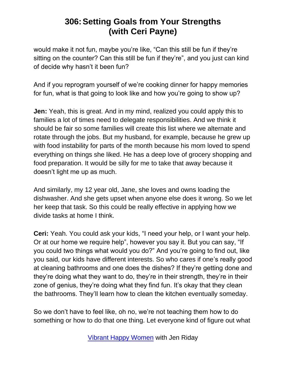would make it not fun, maybe you're like, "Can this still be fun if they're sitting on the counter? Can this still be fun if they're", and you just can kind of decide why hasn't it been fun?

And if you reprogram yourself of we're cooking dinner for happy memories for fun, what is that going to look like and how you're going to show up?

**Jen:** Yeah, this is great. And in my mind, realized you could apply this to families a lot of times need to delegate responsibilities. And we think it should be fair so some families will create this list where we alternate and rotate through the jobs. But my husband, for example, because he grew up with food instability for parts of the month because his mom loved to spend everything on things she liked. He has a deep love of grocery shopping and food preparation. It would be silly for me to take that away because it doesn't light me up as much.

And similarly, my 12 year old, Jane, she loves and owns loading the dishwasher. And she gets upset when anyone else does it wrong. So we let her keep that task. So this could be really effective in applying how we divide tasks at home I think.

**Ceri:** Yeah. You could ask your kids, "I need your help, or I want your help. Or at our home we require help", however you say it. But you can say, "If you could two things what would you do?" And you're going to find out, like you said, our kids have different interests. So who cares if one's really good at cleaning bathrooms and one does the dishes? If they're getting done and they're doing what they want to do, they're in their strength, they're in their zone of genius, they're doing what they find fun. It's okay that they clean the bathrooms. They'll learn how to clean the kitchen eventually someday.

So we don't have to feel like, oh no, we're not teaching them how to do something or how to do that one thing. Let everyone kind of figure out what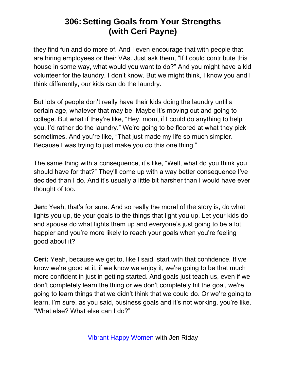they find fun and do more of. And I even encourage that with people that are hiring employees or their VAs. Just ask them, "If I could contribute this house in some way, what would you want to do?" And you might have a kid volunteer for the laundry. I don't know. But we might think, I know you and I think differently, our kids can do the laundry.

But lots of people don't really have their kids doing the laundry until a certain age, whatever that may be. Maybe it's moving out and going to college. But what if they're like, "Hey, mom, if I could do anything to help you, I'd rather do the laundry." We're going to be floored at what they pick sometimes. And you're like, "That just made my life so much simpler. Because I was trying to just make you do this one thing."

The same thing with a consequence, it's like, "Well, what do you think you should have for that?" They'll come up with a way better consequence I've decided than I do. And it's usually a little bit harsher than I would have ever thought of too.

**Jen:** Yeah, that's for sure. And so really the moral of the story is, do what lights you up, tie your goals to the things that light you up. Let your kids do and spouse do what lights them up and everyone's just going to be a lot happier and you're more likely to reach your goals when you're feeling good about it?

**Ceri:** Yeah, because we get to, like I said, start with that confidence. If we know we're good at it, if we know we enjoy it, we're going to be that much more confident in just in getting started. And goals just teach us, even if we don't completely learn the thing or we don't completely hit the goal, we're going to learn things that we didn't think that we could do. Or we're going to learn, I'm sure, as you said, business goals and it's not working, you're like, "What else? What else can I do?"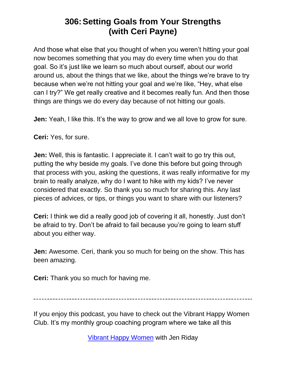And those what else that you thought of when you weren't hitting your goal now becomes something that you may do every time when you do that goal. So it's just like we learn so much about ourself, about our world around us, about the things that we like, about the things we're brave to try because when we're not hitting your goal and we're like, "Hey, what else can I try?" We get really creative and it becomes really fun. And then those things are things we do every day because of not hitting our goals.

**Jen:** Yeah, I like this. It's the way to grow and we all love to grow for sure.

**Ceri:** Yes, for sure.

**Jen:** Well, this is fantastic. I appreciate it. I can't wait to go try this out, putting the why beside my goals. I've done this before but going through that process with you, asking the questions, it was really informative for my brain to really analyze, why do I want to hike with my kids? I've never considered that exactly. So thank you so much for sharing this. Any last pieces of advices, or tips, or things you want to share with our listeners?

**Ceri:** I think we did a really good job of covering it all, honestly. Just don't be afraid to try. Don't be afraid to fail because you're going to learn stuff about you either way.

**Jen:** Awesome. Ceri, thank you so much for being on the show. This has been amazing.

**Ceri:** Thank you so much for having me.

If you enjoy this podcast, you have to check out the Vibrant Happy Women Club. It's my monthly group coaching program where we take all this